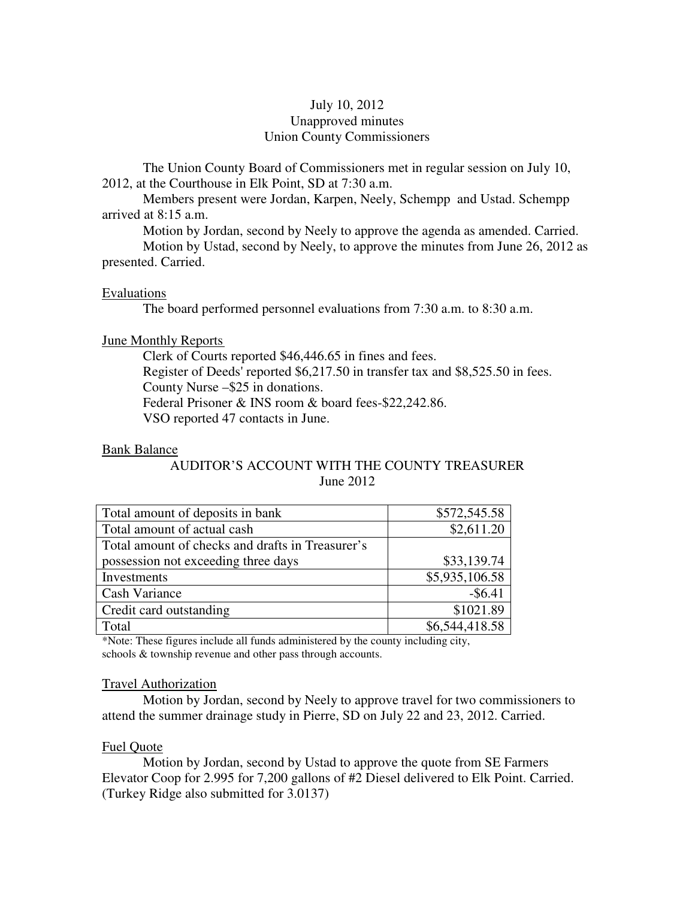## July 10, 2012 Unapproved minutes Union County Commissioners

The Union County Board of Commissioners met in regular session on July 10, 2012, at the Courthouse in Elk Point, SD at 7:30 a.m.

 Members present were Jordan, Karpen, Neely, Schempp and Ustad. Schempp arrived at 8:15 a.m.

Motion by Jordan, second by Neely to approve the agenda as amended. Carried.

 Motion by Ustad, second by Neely, to approve the minutes from June 26, 2012 as presented. Carried.

## Evaluations

The board performed personnel evaluations from 7:30 a.m. to 8:30 a.m.

## June Monthly Reports

 Clerk of Courts reported \$46,446.65 in fines and fees. Register of Deeds' reported \$6,217.50 in transfer tax and \$8,525.50 in fees. County Nurse –\$25 in donations. Federal Prisoner & INS room & board fees-\$22,242.86. VSO reported 47 contacts in June.

#### Bank Balance

# AUDITOR'S ACCOUNT WITH THE COUNTY TREASURER June 2012

| Total amount of deposits in bank                 | \$572,545.58   |
|--------------------------------------------------|----------------|
| Total amount of actual cash                      | \$2,611.20     |
| Total amount of checks and drafts in Treasurer's |                |
| possession not exceeding three days              | \$33,139.74    |
| Investments                                      | \$5,935,106.58 |
| Cash Variance                                    | $-$ \$6.41     |
| Credit card outstanding                          | \$1021.89      |
| Total                                            | \$6,544,418.58 |

\*Note: These figures include all funds administered by the county including city, schools & township revenue and other pass through accounts.

## Travel Authorization

 Motion by Jordan, second by Neely to approve travel for two commissioners to attend the summer drainage study in Pierre, SD on July 22 and 23, 2012. Carried.

## Fuel Quote

 Motion by Jordan, second by Ustad to approve the quote from SE Farmers Elevator Coop for 2.995 for 7,200 gallons of #2 Diesel delivered to Elk Point. Carried. (Turkey Ridge also submitted for 3.0137)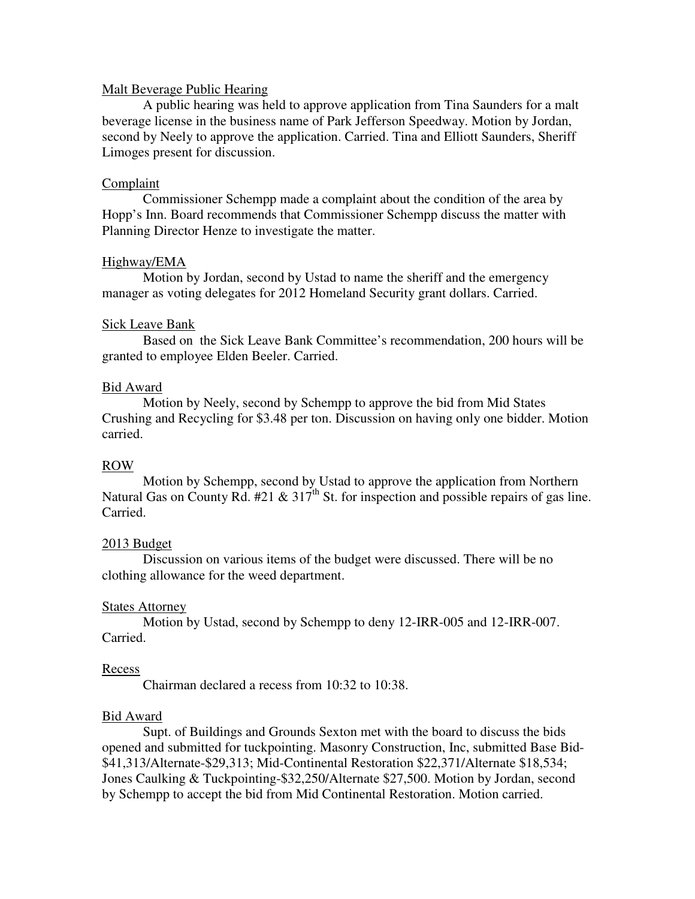## Malt Beverage Public Hearing

 A public hearing was held to approve application from Tina Saunders for a malt beverage license in the business name of Park Jefferson Speedway. Motion by Jordan, second by Neely to approve the application. Carried. Tina and Elliott Saunders, Sheriff Limoges present for discussion.

## Complaint

 Commissioner Schempp made a complaint about the condition of the area by Hopp's Inn. Board recommends that Commissioner Schempp discuss the matter with Planning Director Henze to investigate the matter.

## Highway/EMA

 Motion by Jordan, second by Ustad to name the sheriff and the emergency manager as voting delegates for 2012 Homeland Security grant dollars. Carried.

## Sick Leave Bank

Based on the Sick Leave Bank Committee's recommendation, 200 hours will be granted to employee Elden Beeler. Carried.

## Bid Award

 Motion by Neely, second by Schempp to approve the bid from Mid States Crushing and Recycling for \$3.48 per ton. Discussion on having only one bidder. Motion carried.

## ROW

 Motion by Schempp, second by Ustad to approve the application from Northern Natural Gas on County Rd. #21 & 317<sup>th</sup> St. for inspection and possible repairs of gas line. Carried.

## 2013 Budget

 Discussion on various items of the budget were discussed. There will be no clothing allowance for the weed department.

#### States Attorney

 Motion by Ustad, second by Schempp to deny 12-IRR-005 and 12-IRR-007. Carried.

#### Recess

Chairman declared a recess from 10:32 to 10:38.

#### Bid Award

 Supt. of Buildings and Grounds Sexton met with the board to discuss the bids opened and submitted for tuckpointing. Masonry Construction, Inc, submitted Base Bid- \$41,313/Alternate-\$29,313; Mid-Continental Restoration \$22,371/Alternate \$18,534; Jones Caulking & Tuckpointing-\$32,250/Alternate \$27,500. Motion by Jordan, second by Schempp to accept the bid from Mid Continental Restoration. Motion carried.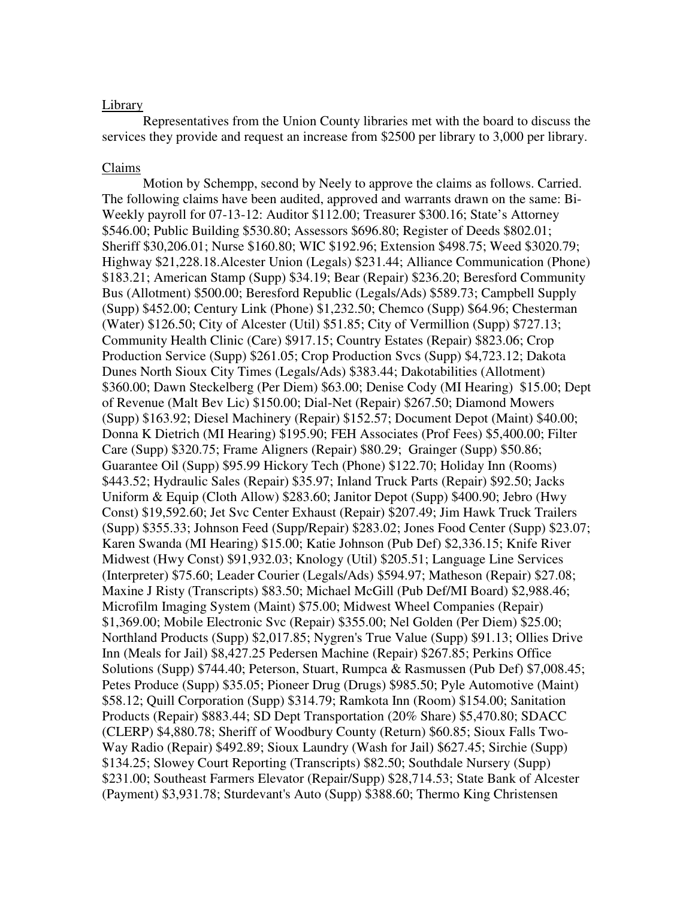#### Library

 Representatives from the Union County libraries met with the board to discuss the services they provide and request an increase from \$2500 per library to 3,000 per library.

#### Claims

 Motion by Schempp, second by Neely to approve the claims as follows. Carried. The following claims have been audited, approved and warrants drawn on the same: Bi-Weekly payroll for 07-13-12: Auditor \$112.00; Treasurer \$300.16; State's Attorney \$546.00; Public Building \$530.80; Assessors \$696.80; Register of Deeds \$802.01; Sheriff \$30,206.01; Nurse \$160.80; WIC \$192.96; Extension \$498.75; Weed \$3020.79; Highway \$21,228.18.Alcester Union (Legals) \$231.44; Alliance Communication (Phone) \$183.21; American Stamp (Supp) \$34.19; Bear (Repair) \$236.20; Beresford Community Bus (Allotment) \$500.00; Beresford Republic (Legals/Ads) \$589.73; Campbell Supply (Supp) \$452.00; Century Link (Phone) \$1,232.50; Chemco (Supp) \$64.96; Chesterman (Water) \$126.50; City of Alcester (Util) \$51.85; City of Vermillion (Supp) \$727.13; Community Health Clinic (Care) \$917.15; Country Estates (Repair) \$823.06; Crop Production Service (Supp) \$261.05; Crop Production Svcs (Supp) \$4,723.12; Dakota Dunes North Sioux City Times (Legals/Ads) \$383.44; Dakotabilities (Allotment) \$360.00; Dawn Steckelberg (Per Diem) \$63.00; Denise Cody (MI Hearing) \$15.00; Dept of Revenue (Malt Bev Lic) \$150.00; Dial-Net (Repair) \$267.50; Diamond Mowers (Supp) \$163.92; Diesel Machinery (Repair) \$152.57; Document Depot (Maint) \$40.00; Donna K Dietrich (MI Hearing) \$195.90; FEH Associates (Prof Fees) \$5,400.00; Filter Care (Supp) \$320.75; Frame Aligners (Repair) \$80.29; Grainger (Supp) \$50.86; Guarantee Oil (Supp) \$95.99 Hickory Tech (Phone) \$122.70; Holiday Inn (Rooms) \$443.52; Hydraulic Sales (Repair) \$35.97; Inland Truck Parts (Repair) \$92.50; Jacks Uniform & Equip (Cloth Allow) \$283.60; Janitor Depot (Supp) \$400.90; Jebro (Hwy Const) \$19,592.60; Jet Svc Center Exhaust (Repair) \$207.49; Jim Hawk Truck Trailers (Supp) \$355.33; Johnson Feed (Supp/Repair) \$283.02; Jones Food Center (Supp) \$23.07; Karen Swanda (MI Hearing) \$15.00; Katie Johnson (Pub Def) \$2,336.15; Knife River Midwest (Hwy Const) \$91,932.03; Knology (Util) \$205.51; Language Line Services (Interpreter) \$75.60; Leader Courier (Legals/Ads) \$594.97; Matheson (Repair) \$27.08; Maxine J Risty (Transcripts) \$83.50; Michael McGill (Pub Def/MI Board) \$2,988.46; Microfilm Imaging System (Maint) \$75.00; Midwest Wheel Companies (Repair) \$1,369.00; Mobile Electronic Svc (Repair) \$355.00; Nel Golden (Per Diem) \$25.00; Northland Products (Supp) \$2,017.85; Nygren's True Value (Supp) \$91.13; Ollies Drive Inn (Meals for Jail) \$8,427.25 Pedersen Machine (Repair) \$267.85; Perkins Office Solutions (Supp) \$744.40; Peterson, Stuart, Rumpca & Rasmussen (Pub Def) \$7,008.45; Petes Produce (Supp) \$35.05; Pioneer Drug (Drugs) \$985.50; Pyle Automotive (Maint) \$58.12; Quill Corporation (Supp) \$314.79; Ramkota Inn (Room) \$154.00; Sanitation Products (Repair) \$883.44; SD Dept Transportation (20% Share) \$5,470.80; SDACC (CLERP) \$4,880.78; Sheriff of Woodbury County (Return) \$60.85; Sioux Falls Two-Way Radio (Repair) \$492.89; Sioux Laundry (Wash for Jail) \$627.45; Sirchie (Supp) \$134.25; Slowey Court Reporting (Transcripts) \$82.50; Southdale Nursery (Supp) \$231.00; Southeast Farmers Elevator (Repair/Supp) \$28,714.53; State Bank of Alcester (Payment) \$3,931.78; Sturdevant's Auto (Supp) \$388.60; Thermo King Christensen